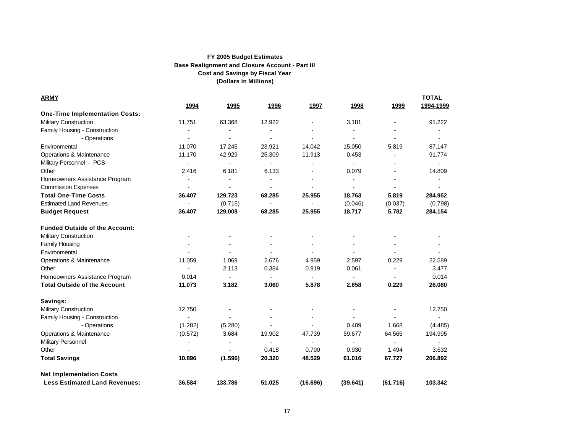| <u>ARMY</u>                           |                          |                          |                          |                |                |                | <b>TOTAL</b>   |  |
|---------------------------------------|--------------------------|--------------------------|--------------------------|----------------|----------------|----------------|----------------|--|
|                                       | 1994                     | 1995                     | 1996                     | 1997           | 1998           | 1999           | 1994-1999      |  |
| <b>One-Time Implementation Costs:</b> |                          |                          |                          |                |                |                |                |  |
| <b>Military Construction</b>          | 11.751                   | 63.368                   | 12.922                   |                | 3.181          |                | 91.222         |  |
| Family Housing - Construction         |                          |                          |                          |                |                |                |                |  |
| - Operations                          |                          |                          | $\blacksquare$           |                | $\blacksquare$ |                |                |  |
| Environmental                         | 11.070                   | 17.245                   | 23.921                   | 14.042         | 15.050         | 5.819          | 87.147         |  |
| Operations & Maintenance              | 11.170                   | 42.929                   | 25.309                   | 11.913         | 0.453          |                | 91.774         |  |
| Military Personnel - PCS              | $\blacksquare$           | $\blacksquare$           | $\blacksquare$           |                | $\blacksquare$ |                |                |  |
| Other                                 | 2.416                    | 6.181                    | 6.133                    | $\blacksquare$ | 0.079          | $\blacksquare$ | 14.809         |  |
| Homeowners Assistance Program         | $\blacksquare$           |                          | $\blacksquare$           | $\blacksquare$ | $\blacksquare$ | $\blacksquare$ | $\blacksquare$ |  |
| <b>Commission Expenses</b>            | $\blacksquare$           |                          | $\blacksquare$           |                | $\blacksquare$ |                |                |  |
| <b>Total One-Time Costs</b>           | 36.407                   | 129.723                  | 68.285                   | 25.955         | 18.763         | 5.819          | 284.952        |  |
| <b>Estimated Land Revenues</b>        | $\blacksquare$           | (0.715)                  | $\blacksquare$           |                | (0.046)        | (0.037)        | (0.798)        |  |
| <b>Budget Request</b>                 | 36.407                   | 129.008                  | 68.285                   | 25.955         | 18.717         | 5.782          | 284.154        |  |
| <b>Funded Outside of the Account:</b> |                          |                          |                          |                |                |                |                |  |
| <b>Military Construction</b>          | $\overline{\phantom{a}}$ | $\overline{\phantom{a}}$ |                          |                |                |                |                |  |
| Family Housing                        |                          |                          |                          |                |                |                |                |  |
| Environmental                         | $\blacksquare$           |                          | $\blacksquare$           | $\blacksquare$ | $\blacksquare$ |                |                |  |
| Operations & Maintenance              | 11.059                   | 1.069                    | 2.676                    | 4.959          | 2.597          | 0.229          | 22.589         |  |
| Other                                 | $\blacksquare$           | 2.113                    | 0.384                    | 0.919          | 0.061          | $\blacksquare$ | 3.477          |  |
| Homeowners Assistance Program         | 0.014                    | $\blacksquare$           | $\blacksquare$           | $\blacksquare$ | $\blacksquare$ |                | 0.014          |  |
| <b>Total Outside of the Account</b>   | 11.073                   | 3.182                    | 3.060                    | 5.878          | 2.658          | 0.229          | 26.080         |  |
| Savings:                              |                          |                          |                          |                |                |                |                |  |
| <b>Military Construction</b>          | 12.750                   |                          |                          |                |                |                | 12.750         |  |
| Family Housing - Construction         |                          |                          |                          |                |                |                |                |  |
| - Operations                          | (1.282)                  | (5.280)                  |                          |                | 0.409          | 1.668          | (4.485)        |  |
| Operations & Maintenance              | (0.572)                  | 3.684                    | 19.902                   | 47.739         | 59.677         | 64.565         | 194.995        |  |
| <b>Military Personnel</b>             | $\overline{\phantom{a}}$ |                          | $\overline{\phantom{a}}$ | $\blacksquare$ | $\blacksquare$ | $\blacksquare$ |                |  |
| Other                                 | $\blacksquare$           |                          | 0.418                    | 0.790          | 0.930          | 1.494          | 3.632          |  |
| <b>Total Savings</b>                  | 10.896                   | (1.596)                  | 20.320                   | 48.529         | 61.016         | 67.727         | 206.892        |  |
| <b>Net Implementation Costs</b>       |                          |                          |                          |                |                |                |                |  |
| <b>Less Estimated Land Revenues:</b>  | 36.584                   | 133.786                  | 51.025                   | (16.696)       | (39.641)       | (61.716)       | 103.342        |  |

17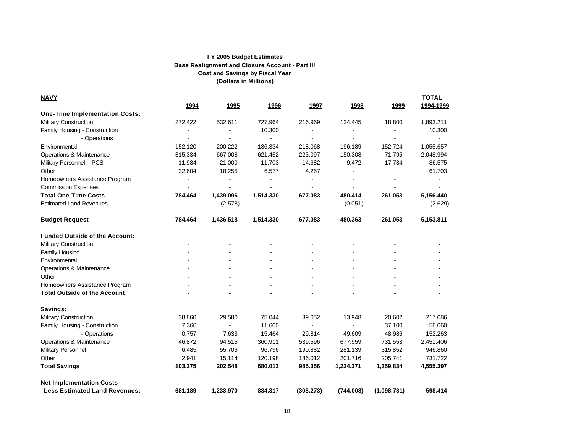| <b>NAVY</b>                           |         |           |                |                |                |             | <b>TOTAL</b> |  |
|---------------------------------------|---------|-----------|----------------|----------------|----------------|-------------|--------------|--|
|                                       | 1994    | 1995      | 1996           | 1997           | 1998           | 1999        | 1994-1999    |  |
| <b>One-Time Implementation Costs:</b> |         |           |                |                |                |             |              |  |
| <b>Military Construction</b>          | 272.422 | 532.611   | 727.964        | 216.969        | 124.445        | 18.800      | 1,893.211    |  |
| Family Housing - Construction         |         |           | 10.300         |                |                |             | 10.300       |  |
| - Operations                          |         |           | $\blacksquare$ |                |                |             |              |  |
| Environmental                         | 152.120 | 200.222   | 136.334        | 218.068        | 196.189        | 152.724     | 1,055.657    |  |
| Operations & Maintenance              | 315.334 | 667.008   | 621.452        | 223.097        | 150.308        | 71.795      | 2,048.994    |  |
| Military Personnel - PCS              | 11.984  | 21.000    | 11.703         | 14.682         | 9.472          | 17.734      | 86.575       |  |
| Other                                 | 32.604  | 18.255    | 6.577          | 4.267          |                |             | 61.703       |  |
| Homeowners Assistance Program         |         |           |                |                |                |             |              |  |
| <b>Commission Expenses</b>            |         |           |                |                |                |             |              |  |
| <b>Total One-Time Costs</b>           | 784.464 | 1,439.096 | 1,514.330      | 677.083        | 480.414        | 261.053     | 5,156.440    |  |
| <b>Estimated Land Revenues</b>        |         | (2.578)   |                |                | (0.051)        |             | (2.629)      |  |
| <b>Budget Request</b>                 | 784.464 | 1,436.518 | 1,514.330      | 677.083        | 480.363        | 261.053     | 5,153.811    |  |
| <b>Funded Outside of the Account:</b> |         |           |                |                |                |             |              |  |
| <b>Military Construction</b>          |         |           |                |                |                |             |              |  |
| <b>Family Housing</b>                 |         |           |                |                |                |             |              |  |
| Environmental                         |         |           |                |                | $\blacksquare$ |             |              |  |
| Operations & Maintenance              |         |           |                |                | $\blacksquare$ |             |              |  |
| Other                                 |         |           |                |                | $\blacksquare$ |             |              |  |
| Homeowners Assistance Program         |         |           |                |                | $\blacksquare$ |             |              |  |
| <b>Total Outside of the Account</b>   |         |           |                |                |                |             |              |  |
| Savings:                              |         |           |                |                |                |             |              |  |
| Military Construction                 | 38.860  | 29.580    | 75.044         | 39.052         | 13.948         | 20.602      | 217.086      |  |
| Family Housing - Construction         | 7.360   | $\sim$    | 11.600         | $\blacksquare$ |                | 37.100      | 56.060       |  |
| - Operations                          | 0.757   | 7.633     | 15.464         | 29.814         | 49.609         | 48.986      | 152.263      |  |
| Operations & Maintenance              | 46.872  | 94.515    | 360.911        | 539.596        | 677.959        | 731.553     | 2,451.406    |  |
| <b>Military Personnel</b>             | 6.485   | 55.706    | 96.796         | 190.882        | 281.139        | 315.852     | 946.860      |  |
| Other                                 | 2.941   | 15.114    | 120.198        | 186.012        | 201.716        | 205.741     | 731.722      |  |
| <b>Total Savings</b>                  | 103.275 | 202.548   | 680.013        | 985.356        | 1,224.371      | 1,359.834   | 4,555.397    |  |
| <b>Net Implementation Costs</b>       |         |           |                |                |                |             |              |  |
| <b>Less Estimated Land Revenues:</b>  | 681.189 | 1,233.970 | 834.317        | (308.273)      | (744.008)      | (1,098.781) | 598.414      |  |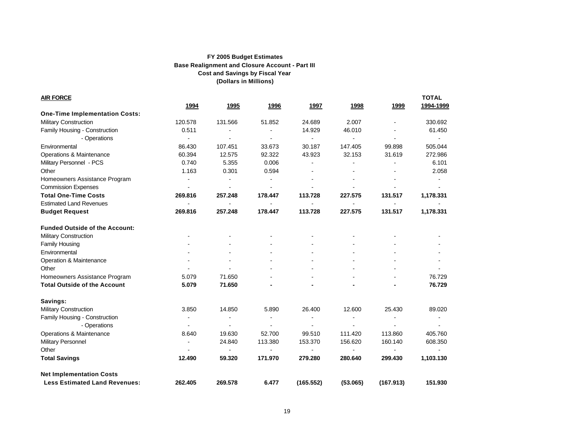| <b>AIR FORCE</b>                      |                |                |                              |                |                |                          | <b>TOTAL</b>   |
|---------------------------------------|----------------|----------------|------------------------------|----------------|----------------|--------------------------|----------------|
|                                       | 1994           | 1995           | 1996                         | 1997           | 1998           | 1999                     | 1994-1999      |
| <b>One-Time Implementation Costs:</b> |                |                |                              |                |                |                          |                |
| <b>Military Construction</b>          | 120.578        | 131.566        | 51.852                       | 24.689         | 2.007          |                          | 330.692        |
| Family Housing - Construction         | 0.511          |                |                              | 14.929         | 46.010         |                          | 61.450         |
| - Operations                          | $\blacksquare$ |                |                              | $\blacksquare$ | $\blacksquare$ |                          | $\blacksquare$ |
| Environmental                         | 86.430         | 107.451        | 33.673                       | 30.187         | 147.405        | 99.898                   | 505.044        |
| Operations & Maintenance              | 60.394         | 12.575         | 92.322                       | 43.923         | 32.153         | 31.619                   | 272.986        |
| Military Personnel - PCS              | 0.740          | 5.355          | 0.006                        |                |                |                          | 6.101          |
| Other                                 | 1.163          | 0.301          | 0.594                        | $\blacksquare$ |                | $\blacksquare$           | 2.058          |
| Homeowners Assistance Program         | $\blacksquare$ |                | $\overline{\phantom{a}}$     |                |                |                          |                |
| <b>Commission Expenses</b>            | $\blacksquare$ |                | $\qquad \qquad \blacksquare$ |                |                |                          |                |
| <b>Total One-Time Costs</b>           | 269.816        | 257.248        | 178.447                      | 113.728        | 227.575        | 131.517                  | 1,178.331      |
| <b>Estimated Land Revenues</b>        | $\blacksquare$ | $\blacksquare$ | $\overline{\phantom{a}}$     |                |                |                          |                |
| <b>Budget Request</b>                 | 269.816        | 257.248        | 178.447                      | 113.728        | 227.575        | 131.517                  | 1,178.331      |
| <b>Funded Outside of the Account:</b> |                |                |                              |                |                |                          |                |
| <b>Military Construction</b>          |                |                |                              |                |                |                          |                |
| <b>Family Housing</b>                 |                |                |                              |                |                |                          |                |
| Environmental                         |                |                |                              |                |                |                          |                |
| Operation & Maintenance               |                |                |                              |                |                |                          |                |
| Other                                 |                |                |                              |                |                |                          |                |
| Homeowners Assistance Program         | 5.079          | 71.650         |                              |                |                |                          | 76.729         |
| <b>Total Outside of the Account</b>   | 5.079          | 71.650         |                              |                |                |                          | 76.729         |
| Savings:                              |                |                |                              |                |                |                          |                |
| Military Construction                 | 3.850          | 14.850         | 5.890                        | 26.400         | 12.600         | 25.430                   | 89.020         |
| Family Housing - Construction         | $\blacksquare$ | $\blacksquare$ |                              |                | $\blacksquare$ | $\overline{\phantom{a}}$ | $\blacksquare$ |
| - Operations                          |                |                |                              |                |                |                          |                |
| Operations & Maintenance              | 8.640          | 19.630         | 52.700                       | 99.510         | 111.420        | 113.860                  | 405.760        |
| Military Personnel                    | $\blacksquare$ | 24.840         | 113.380                      | 153.370        | 156.620        | 160.140                  | 608.350        |
| Other                                 |                |                |                              |                |                |                          |                |
| <b>Total Savings</b>                  | 12.490         | 59.320         | 171.970                      | 279.280        | 280.640        | 299.430                  | 1,103.130      |
| <b>Net Implementation Costs</b>       |                |                |                              |                |                |                          |                |
| <b>Less Estimated Land Revenues:</b>  | 262.405        | 269.578        | 6.477                        | (165.552)      | (53.065)       | (167.913)                | 151.930        |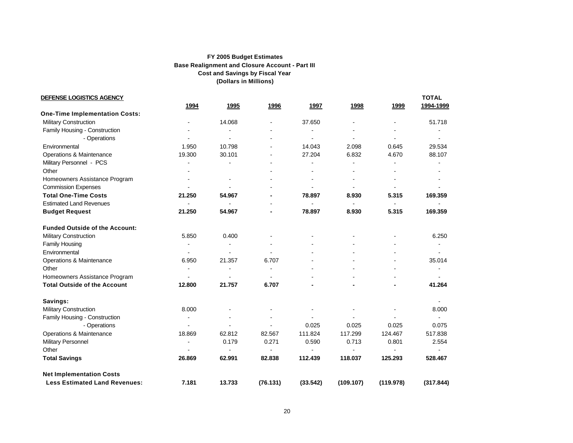| DEFENSE LOGISTICS AGENCY              |                |                          |          |          |                |                | <b>TOTAL</b> |
|---------------------------------------|----------------|--------------------------|----------|----------|----------------|----------------|--------------|
|                                       | 1994           | 1995                     | 1996     | 1997     | 1998           | 1999           | 1994-1999    |
| <b>One-Time Implementation Costs:</b> |                |                          |          |          |                |                |              |
| <b>Military Construction</b>          |                | 14.068                   |          | 37.650   |                | $\blacksquare$ | 51.718       |
| Family Housing - Construction         |                |                          |          |          |                |                |              |
| - Operations                          |                |                          |          |          |                |                |              |
| Environmental                         | 1.950          | 10.798                   | $\sim$   | 14.043   | 2.098          | 0.645          | 29.534       |
| Operations & Maintenance              | 19.300         | 30.101                   |          | 27.204   | 6.832          | 4.670          | 88.107       |
| Military Personnel - PCS              |                |                          |          |          |                |                |              |
| Other                                 |                |                          |          |          |                |                |              |
| Homeowners Assistance Program         |                | $\overline{\phantom{a}}$ |          |          |                | $\blacksquare$ |              |
| <b>Commission Expenses</b>            |                |                          |          |          | $\blacksquare$ | $\blacksquare$ |              |
| <b>Total One-Time Costs</b>           | 21.250         | 54.967                   |          | 78.897   | 8.930          | 5.315          | 169.359      |
| <b>Estimated Land Revenues</b>        |                |                          |          |          | $\blacksquare$ | $\blacksquare$ |              |
| <b>Budget Request</b>                 | 21.250         | 54.967                   |          | 78.897   | 8.930          | 5.315          | 169.359      |
| <b>Funded Outside of the Account:</b> |                |                          |          |          |                |                |              |
| <b>Military Construction</b>          | 5.850          | 0.400                    |          |          |                |                | 6.250        |
| Family Housing                        | $\overline{a}$ |                          |          |          |                |                |              |
| Environmental                         |                |                          |          |          |                | ÷,             |              |
| Operations & Maintenance              | 6.950          | 21.357                   | 6.707    |          |                |                | 35.014       |
| Other                                 |                |                          |          |          |                |                |              |
| Homeowners Assistance Program         |                |                          |          |          |                |                |              |
| <b>Total Outside of the Account</b>   | 12.800         | 21.757                   | 6.707    |          |                |                | 41.264       |
| Savings:                              |                |                          |          |          |                |                |              |
| Military Construction                 | 8.000          |                          |          |          |                |                | 8.000        |
| Family Housing - Construction         |                |                          |          |          |                |                |              |
| - Operations                          |                |                          |          | 0.025    | 0.025          | 0.025          | 0.075        |
| Operations & Maintenance              | 18.869         | 62.812                   | 82.567   | 111.824  | 117.299        | 124.467        | 517.838      |
| <b>Military Personnel</b>             |                | 0.179                    | 0.271    | 0.590    | 0.713          | 0.801          | 2.554        |
| Other                                 |                |                          | ä,       |          | $\blacksquare$ | $\blacksquare$ |              |
| <b>Total Savings</b>                  | 26.869         | 62.991                   | 82.838   | 112.439  | 118.037        | 125.293        | 528.467      |
| <b>Net Implementation Costs</b>       |                |                          |          |          |                |                |              |
| <b>Less Estimated Land Revenues:</b>  | 7.181          | 13.733                   | (76.131) | (33.542) | (109.107)      | (119.978)      | (317.844)    |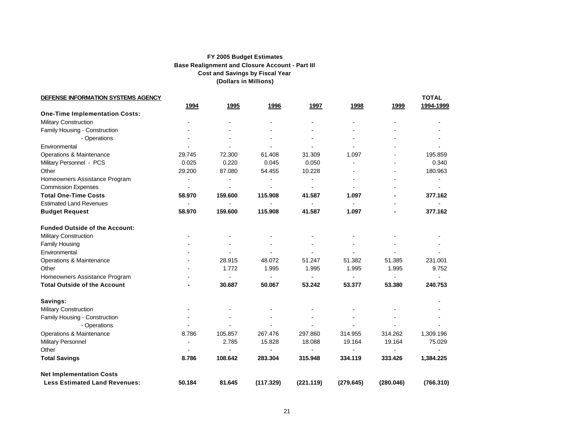| DEFENSE INFORMATION SYSTEMS AGENCY    |                          |                |                          |                |                |                | <b>TOTAL</b>   |
|---------------------------------------|--------------------------|----------------|--------------------------|----------------|----------------|----------------|----------------|
|                                       | <u>1994</u>              | 1995           | 1996                     | 1997           | 1998           | 1999           | 1994-1999      |
| <b>One-Time Implementation Costs:</b> |                          |                |                          |                |                |                |                |
| Military Construction                 |                          |                |                          | $\blacksquare$ | $\overline{a}$ | ÷              |                |
| Family Housing - Construction         |                          |                |                          |                |                |                |                |
| - Operations                          |                          |                |                          |                |                |                |                |
| Environmental                         |                          |                |                          |                |                |                |                |
| Operations & Maintenance              | 29.745                   | 72.300         | 61.408                   | 31.309         | 1.097          | $\blacksquare$ | 195.859        |
| Military Personnel - PCS              | 0.025                    | 0.220          | 0.045                    | 0.050          | $\blacksquare$ |                | 0.340          |
| Other                                 | 29.200                   | 87.080         | 54.455                   | 10.228         |                | $\blacksquare$ | 180.963        |
| Homeowners Assistance Program         |                          |                | $\overline{\phantom{a}}$ | $\blacksquare$ | $\blacksquare$ |                | $\blacksquare$ |
| <b>Commission Expenses</b>            | $\overline{\phantom{a}}$ | $\blacksquare$ | $\blacksquare$           | $\blacksquare$ |                |                |                |
| <b>Total One-Time Costs</b>           | 58.970                   | 159.600        | 115.908                  | 41.587         | 1.097          | $\blacksquare$ | 377.162        |
| <b>Estimated Land Revenues</b>        | $\overline{a}$           |                | $\blacksquare$           | $\sim$         | $\blacksquare$ |                |                |
| <b>Budget Request</b>                 | 58.970                   | 159.600        | 115.908                  | 41.587         | 1.097          |                | 377.162        |
| <b>Funded Outside of the Account:</b> |                          |                |                          |                |                |                |                |
| Military Construction                 |                          |                |                          |                |                |                |                |
| <b>Family Housing</b>                 |                          |                |                          |                |                |                |                |
| Environmental                         |                          |                | $\blacksquare$           |                | $\blacksquare$ | $\blacksquare$ |                |
| Operations & Maintenance              |                          | 28.915         | 48.072                   | 51.247         | 51.382         | 51.385         | 231.001        |
| Other                                 |                          | 1.772          | 1.995                    | 1.995          | 1.995          | 1.995          | 9.752          |
| Homeowners Assistance Program         |                          |                |                          | $\blacksquare$ | $\blacksquare$ | -              |                |
| <b>Total Outside of the Account</b>   |                          | 30.687         | 50.067                   | 53.242         | 53.377         | 53.380         | 240.753        |
| Savings:                              |                          |                |                          |                |                |                |                |
| Military Construction                 |                          |                |                          |                |                |                |                |
| Family Housing - Construction         |                          |                |                          |                |                |                |                |
| - Operations                          |                          |                |                          |                |                |                |                |
| Operations & Maintenance              | 8.786                    | 105.857        | 267.476                  | 297.860        | 314.955        | 314.262        | 1,309.196      |
| Military Personnel                    |                          | 2.785          | 15.828                   | 18.088         | 19.164         | 19.164         | 75.029         |
| Other                                 | $\blacksquare$           |                |                          |                | $\blacksquare$ | $\blacksquare$ |                |
| <b>Total Savings</b>                  | 8.786                    | 108.642        | 283.304                  | 315.948        | 334.119        | 333.426        | 1,384.225      |
| <b>Net Implementation Costs</b>       |                          |                |                          |                |                |                |                |
| <b>Less Estimated Land Revenues:</b>  | 50.184                   | 81.645         | (117.329)                | (221.119)      | (279.645)      | (280.046)      | (766.310)      |